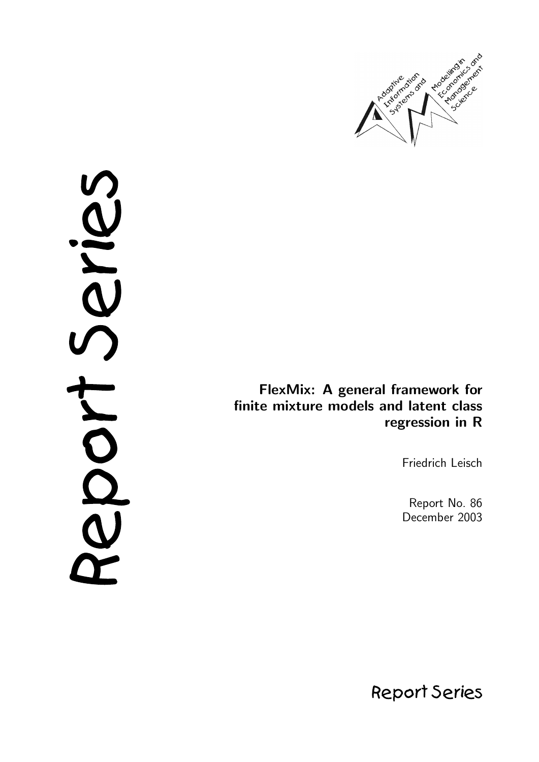

cries DOO

FlexMix: A general framework for finite mixture models and latent class regression in R

Friedrich Leisch

Report No. 86 December 2003

**Report Series**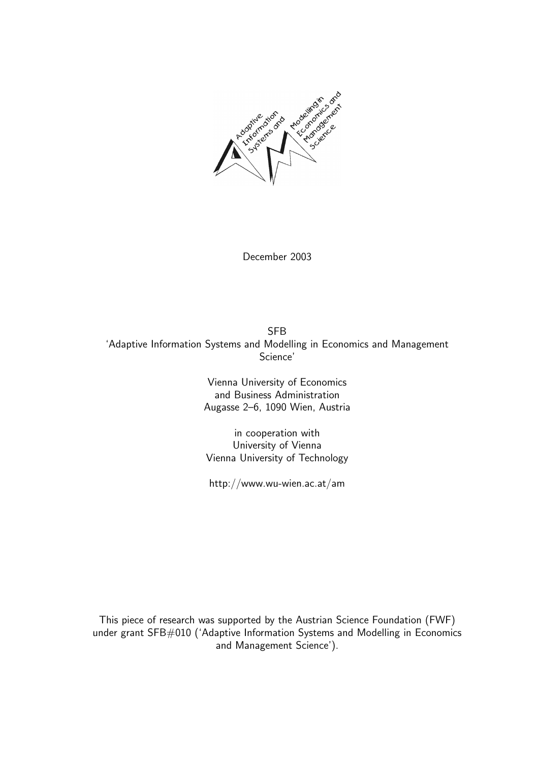

December 2003

SFB 'Adaptive Information Systems and Modelling in Economics and Management Science'

> Vienna University of Economics and Business Administration Augasse 2–6, 1090 Wien, Austria

in cooperation with University of Vienna Vienna University of Technology

http://www.wu-wien.ac.at/am

This piece of research was supported by the Austrian Science Foundation (FWF) under grant SFB#010 ('Adaptive Information Systems and Modelling in Economics and Management Science').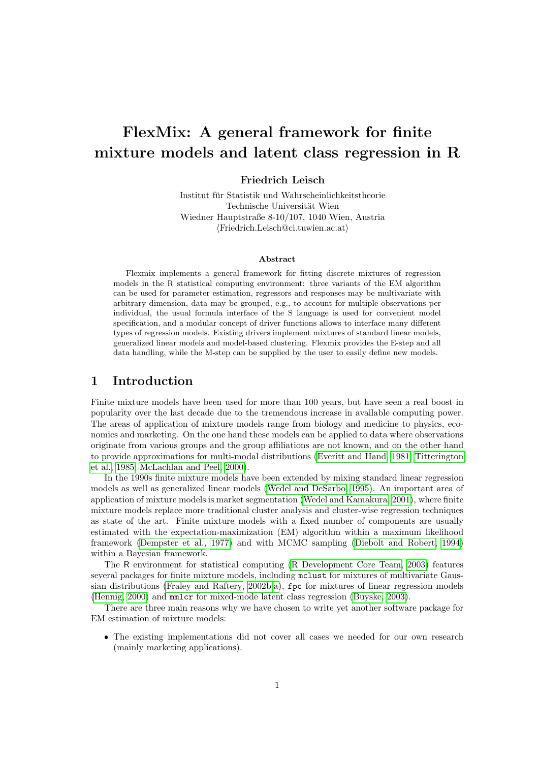# FlexMix: A general framework for finite mixture models and latent class regression in R

#### Friedrich Leisch

Institut für Statistik und Wahrscheinlichkeitstheorie Technische Universität Wien Wiedner Hauptstraße 8-10/107, 1040 Wien, Austria  $\langle$ Friedrich.Leisch@ci.tuwien.ac.at $\rangle$ 

#### Abstract

Flexmix implements a general framework for fitting discrete mixtures of regression models in the R statistical computing environment: three variants of the EM algorithm can be used for parameter estimation, regressors and responses may be multivariate with arbitrary dimension, data may be grouped, e.g., to account for multiple observations per individual, the usual formula interface of the S language is used for convenient model specification, and a modular concept of driver functions allows to interface many different types of regression models. Existing drivers implement mixtures of standard linear models, generalized linear models and model-based clustering. Flexmix provides the E-step and all data handling, while the M-step can be supplied by the user to easily define new models.

## 1 Introduction

Finite mixture models have been used for more than 100 years, but have seen a real boost in popularity over the last decade due to the tremendous increase in available computing power. The areas of application of mixture models range from biology and medicine to physics, economics and marketing. On the one hand these models can be applied to data where observations originate from various groups and the group affiliations are not known, and on the other hand to provide approximations for multi-modal distributions [\(Everitt and Hand, 1981;](#page-16-0) [Titterington](#page-17-0) [et al., 1985;](#page-17-0) [McLachlan and Peel, 2000\)](#page-17-1).

In the 1990s finite mixture models have been extended by mixing standard linear regression models as well as generalized linear models [\(Wedel and DeSarbo, 1995\)](#page-17-2). An important area of application of mixture models is market segmentation [\(Wedel and Kamakura, 2001\)](#page-17-3), where finite mixture models replace more traditional cluster analysis and cluster-wise regression techniques as state of the art. Finite mixture models with a fixed number of components are usually estimated with the expectation-maximization (EM) algorithm within a maximum likelihood framework [\(Dempster et al., 1977\)](#page-16-1) and with MCMC sampling [\(Diebolt and Robert, 1994\)](#page-16-2) within a Bayesian framework.

The R environment for statistical computing [\(R Development Core Team, 2003\)](#page-17-4) features several packages for finite mixture models, including mclust for mixtures of multivariate Gaussian distributions [\(Fraley and Raftery, 2002b](#page-16-3)[,a\)](#page-16-4), fpc for mixtures of linear regression models [\(Hennig, 2000\)](#page-17-5) and mmlcr for mixed-mode latent class regression [\(Buyske, 2003\)](#page-16-5).

There are three main reasons why we have chosen to write yet another software package for EM estimation of mixture models:

 The existing implementations did not cover all cases we needed for our own research (mainly marketing applications).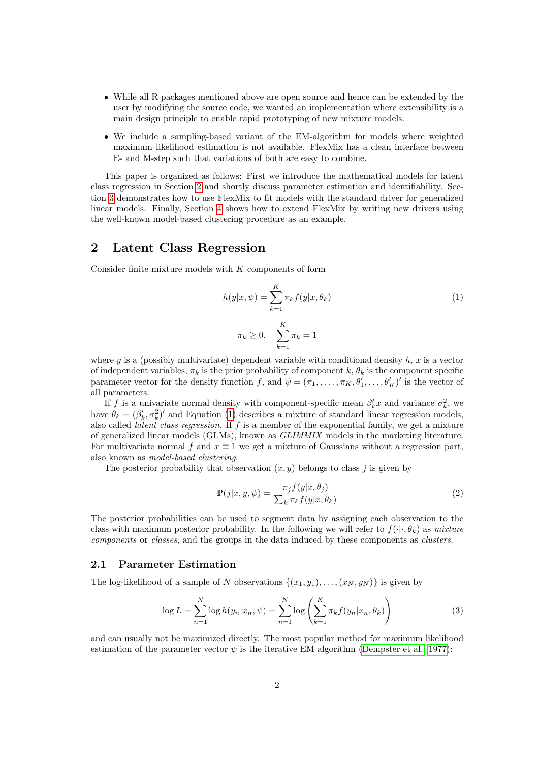- While all R packages mentioned above are open source and hence can be extended by the user by modifying the source code, we wanted an implementation where extensibility is a main design principle to enable rapid prototyping of new mixture models.
- We include a sampling-based variant of the EM-algorithm for models where weighted maximum likelihood estimation is not available. FlexMix has a clean interface between E- and M-step such that variations of both are easy to combine.

This paper is organized as follows: First we introduce the mathematical models for latent class regression in Section [2](#page-3-0) and shortly discuss parameter estimation and identifiability. Section [3](#page-5-0) demonstrates how to use FlexMix to fit models with the standard driver for generalized linear models. Finally, Section [4](#page-12-0) shows how to extend FlexMix by writing new drivers using the well-known model-based clustering procedure as an example.

## <span id="page-3-0"></span>2 Latent Class Regression

Consider finite mixture models with K components of form

<span id="page-3-1"></span>
$$
h(y|x,\psi) = \sum_{k=1}^{K} \pi_k f(y|x,\theta_k)
$$
\n(1)

$$
\pi_k \ge 0, \quad \sum_{k=1}^K \pi_k = 1
$$

where y is a (possibly multivariate) dependent variable with conditional density  $h, x$  is a vector of independent variables,  $\pi_k$  is the prior probability of component k,  $\theta_k$  is the component specific parameter vector for the density function f, and  $\psi = (\pi_1, \ldots, \pi_K, \theta'_1, \ldots, \theta'_K)'$  is the vector of all parameters.

If f is a univariate normal density with component-specific mean  $\beta'_k x$  and variance  $\sigma_k^2$ , we have  $\theta_k = (\beta'_k, \sigma_k^2)'$  and Equation [\(1\)](#page-3-1) describes a mixture of standard linear regression models, also called latent class regression. If f is a member of the exponential family, we get a mixture of generalized linear models (GLMs), known as GLIMMIX models in the marketing literature. For multivariate normal f and  $x \equiv 1$  we get a mixture of Gaussians without a regression part, also known as model-based clustering.

The posterior probability that observation  $(x, y)$  belongs to class j is given by

<span id="page-3-2"></span>
$$
\mathbb{P}(j|x, y, \psi) = \frac{\pi_j f(y|x, \theta_j)}{\sum_k \pi_k f(y|x, \theta_k)}\tag{2}
$$

The posterior probabilities can be used to segment data by assigning each observation to the class with maximum posterior probability. In the following we will refer to  $f(\cdot|\cdot,\theta_k)$  as mixture components or classes, and the groups in the data induced by these components as clusters.

#### 2.1 Parameter Estimation

The log-likelihood of a sample of N observations  $\{(x_1, y_1), \ldots, (x_N, y_N)\}\$ is given by

<span id="page-3-3"></span>
$$
\log L = \sum_{n=1}^{N} \log h(y_n | x_n, \psi) = \sum_{n=1}^{N} \log \left( \sum_{k=1}^{K} \pi_k f(y_n | x_n, \theta_k) \right)
$$
(3)

and can usually not be maximized directly. The most popular method for maximum likelihood estimation of the parameter vector  $\psi$  is the iterative EM algorithm [\(Dempster et al., 1977\)](#page-16-1):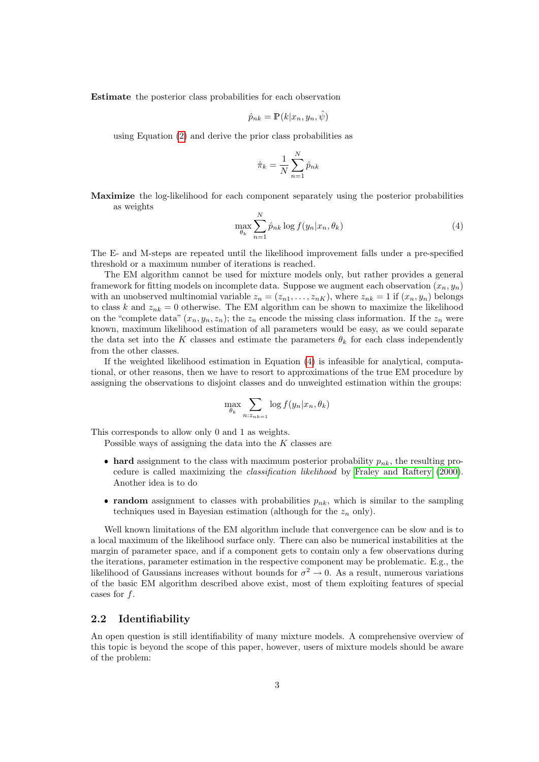Estimate the posterior class probabilities for each observation

$$
\hat{p}_{nk} = \mathbb{P}(k|x_n, y_n, \hat{\psi})
$$

using Equation [\(2\)](#page-3-2) and derive the prior class probabilities as

$$
\hat{\pi}_k = \frac{1}{N} \sum_{n=1}^N \hat{p}_{nk}
$$

Maximize the log-likelihood for each component separately using the posterior probabilities as weights

<span id="page-4-0"></span>
$$
\max_{\theta_k} \sum_{n=1}^N \hat{p}_{nk} \log f(y_n | x_n, \theta_k)
$$
\n(4)

The E- and M-steps are repeated until the likelihood improvement falls under a pre-specified threshold or a maximum number of iterations is reached.

The EM algorithm cannot be used for mixture models only, but rather provides a general framework for fitting models on incomplete data. Suppose we augment each observation  $(x_n, y_n)$ with an unobserved multinomial variable  $z_n = (z_{n1}, \ldots, z_{nK})$ , where  $z_{nk} = 1$  if  $(x_n, y_n)$  belongs to class k and  $z_{nk} = 0$  otherwise. The EM algorithm can be shown to maximize the likelihood on the "complete data"  $(x_n, y_n, z_n)$ ; the  $z_n$  encode the missing class information. If the  $z_n$  were known, maximum likelihood estimation of all parameters would be easy, as we could separate the data set into the K classes and estimate the parameters  $\theta_k$  for each class independently from the other classes.

If the weighted likelihood estimation in Equation [\(4\)](#page-4-0) is infeasible for analytical, computational, or other reasons, then we have to resort to approximations of the true EM procedure by assigning the observations to disjoint classes and do unweighted estimation within the groups:

$$
\max_{\theta_k} \sum_{n: z_{nk=1}} \log f(y_n | x_n, \theta_k)
$$

This corresponds to allow only 0 and 1 as weights.

Possible ways of assigning the data into the  $K$  classes are

- hard assignment to the class with maximum posterior probability  $p_{nk}$ , the resulting procedure is called maximizing the classification likelihood by [Fraley and Raftery](#page-16-6) [\(2000\)](#page-16-6). Another idea is to do
- random assignment to classes with probabilities  $p_{nk}$ , which is similar to the sampling techniques used in Bayesian estimation (although for the  $z_n$  only).

Well known limitations of the EM algorithm include that convergence can be slow and is to a local maximum of the likelihood surface only. There can also be numerical instabilities at the margin of parameter space, and if a component gets to contain only a few observations during the iterations, parameter estimation in the respective component may be problematic. E.g., the likelihood of Gaussians increases without bounds for  $\sigma^2 \to 0$ . As a result, numerous variations of the basic EM algorithm described above exist, most of them exploiting features of special cases for f.

#### 2.2 Identifiability

An open question is still identifiability of many mixture models. A comprehensive overview of this topic is beyond the scope of this paper, however, users of mixture models should be aware of the problem: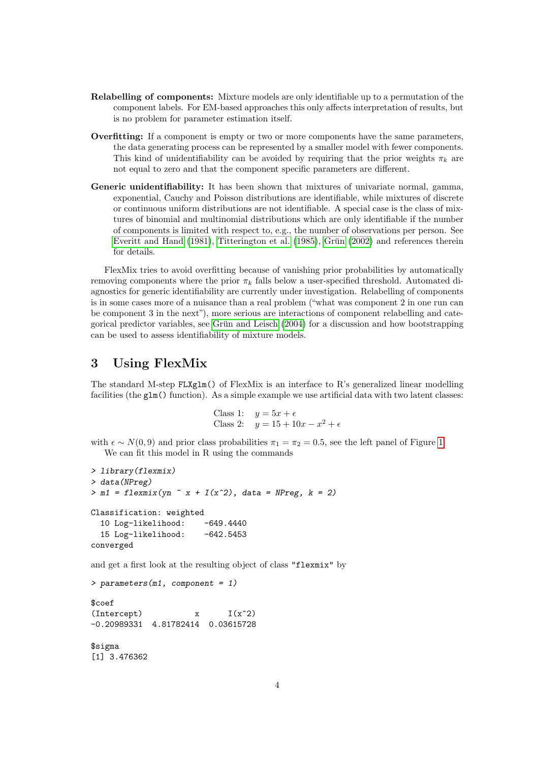- Relabelling of components: Mixture models are only identifiable up to a permutation of the component labels. For EM-based approaches this only affects interpretation of results, but is no problem for parameter estimation itself.
- Overfitting: If a component is empty or two or more components have the same parameters, the data generating process can be represented by a smaller model with fewer components. This kind of unidentifiability can be avoided by requiring that the prior weights  $\pi_k$  are not equal to zero and that the component specific parameters are different.
- Generic unidentifiability: It has been shown that mixtures of univariate normal, gamma, exponential, Cauchy and Poisson distributions are identifiable, while mixtures of discrete or continuous uniform distributions are not identifiable. A special case is the class of mixtures of binomial and multinomial distributions which are only identifiable if the number of components is limited with respect to, e.g., the number of observations per person. See [Everitt and Hand](#page-16-0)  $(1981)$ , [Titterington et al.](#page-17-0)  $(1985)$ , Grün  $(2002)$  and references therein for details.

FlexMix tries to avoid overfitting because of vanishing prior probabilities by automatically removing components where the prior  $\pi_k$  falls below a user-specified threshold. Automated diagnostics for generic identifiability are currently under investigation. Relabelling of components is in some cases more of a nuisance than a real problem ("what was component 2 in one run can be component 3 in the next"), more serious are interactions of component relabelling and cate-gorical predictor variables, see Grün and Leisch [\(2004\)](#page-17-6) for a discussion and how bootstrapping can be used to assess identifiability of mixture models.

## <span id="page-5-0"></span>3 Using FlexMix

The standard M-step FLXglm() of FlexMix is an interface to R's generalized linear modelling facilities (the glm() function). As a simple example we use artificial data with two latent classes:

```
Class 1: y = 5x + \epsilonClass 2: y = 15 + 10x - x^2 + \epsilon
```
with  $\epsilon \sim N(0, 9)$  and prior class probabilities  $\pi_1 = \pi_2 = 0.5$ , see the left panel of Figure [1.](#page-7-0) We can fit this model in R using the commands

```
> library(flexmix)
> data(NPreg)
> m1 = flexmix(yn x + I(x^2), data = NPreg, k = 2)
Classification: weighted
  10 Log-likelihood: -649.4440
  15 Log-likelihood: -642.5453
converged
```
and get a first look at the resulting object of class "flexmix" by

```
> parameters(m1, component = 1)
```
\$coef  $(Intercept)$   $x$   $I(x^2)$ -0.20989331 4.81782414 0.03615728

\$sigma [1] 3.476362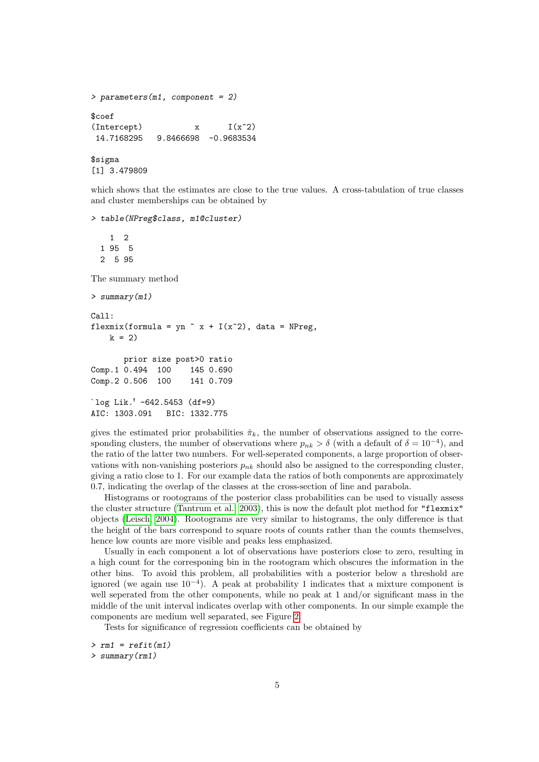```
> parameters(m1, component = 2)
$coef
\text{Intercept)} x I(x^2)14.7168295 9.8466698 -0.9683534
$sigma
[1] 3.479809
```
which shows that the estimates are close to the true values. A cross-tabulation of true classes and cluster memberships can be obtained by

```
> table(NPreg$class, m1@cluster)
```
1 2 1 95 5 2 5 95 The summary method > summary(m1) Call: flexmix(formula = yn  $x + I(x^2)$ , data = NPreg,  $k = 2$ prior size post>0 ratio Comp.1 0.494 100 145 0.690 Comp.2 0.506 100 141 0.709

```
`log Lik.' -642.5453 (df=9)
AIC: 1303.091 BIC: 1332.775
```
gives the estimated prior probabilities  $\hat{\pi}_k$ , the number of observations assigned to the corresponding clusters, the number of observations where  $p_{nk} > \delta$  (with a default of  $\delta = 10^{-4}$ ), and the ratio of the latter two numbers. For well-seperated components, a large proportion of observations with non-vanishing posteriors  $p_{nk}$  should also be assigned to the corresponding cluster, giving a ratio close to 1. For our example data the ratios of both components are approximately 0.7, indicating the overlap of the classes at the cross-section of line and parabola.

Histograms or rootograms of the posterior class probabilities can be used to visually assess the cluster structure [\(Tantrum et al., 2003\)](#page-17-7), this is now the default plot method for "flexmix" objects [\(Leisch, 2004\)](#page-17-8). Rootograms are very similar to histograms, the only difference is that the height of the bars correspond to square roots of counts rather than the counts themselves, hence low counts are more visible and peaks less emphasized.

Usually in each component a lot of observations have posteriors close to zero, resulting in a high count for the corresponing bin in the rootogram which obscures the information in the other bins. To avoid this problem, all probabilities with a posterior below a threshold are ignored (we again use 10<sup>−</sup><sup>4</sup> ). A peak at probability 1 indicates that a mixture component is well seperated from the other components, while no peak at 1 and/or significant mass in the middle of the unit interval indicates overlap with other components. In our simple example the components are medium well separated, see Figure [2.](#page-7-1)

Tests for significance of regression coefficients can be obtained by

```
> rm1 = refit(m1)
> summary(rm1)
```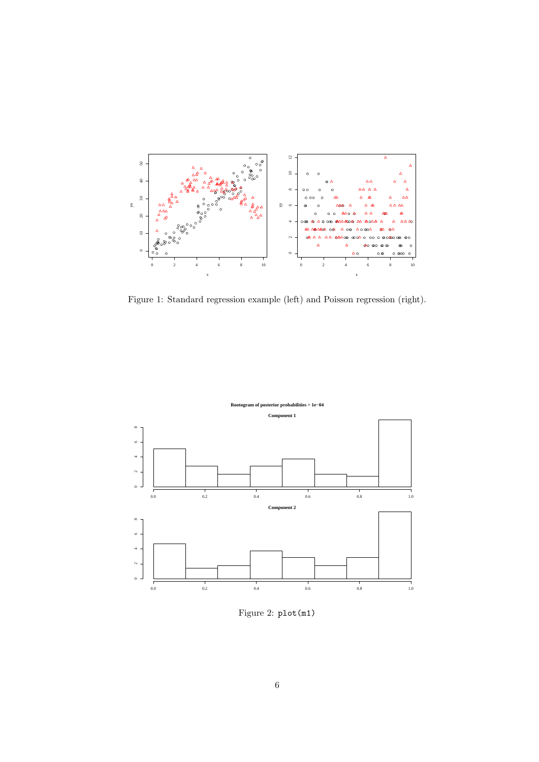

<span id="page-7-0"></span>Figure 1: Standard regression example (left) and Poisson regression (right).



<span id="page-7-1"></span>Figure 2: plot(m1)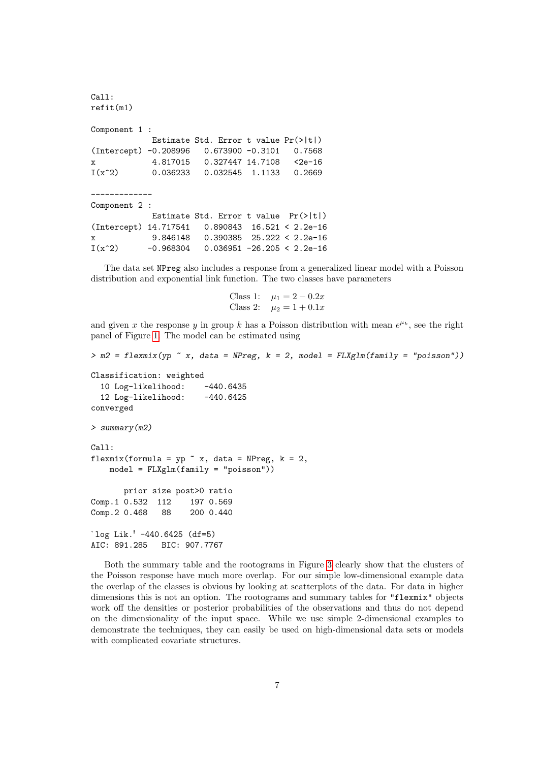```
Call:
refit(m1)
Component 1 :
           Estimate Std. Error t value Pr(>|t|)
(Intercept) -0.208996 0.673900 -0.3101 0.7568
x 4.817015 0.327447 14.7108 <2e-16
I(x^2) 0.036233 0.032545 1.1133 0.2669
-------------
Component 2 :
           Estimate Std. Error t value Pr(>|t|)
(Intercept) 14.717541 0.890843 16.521 < 2.2e-16
x 9.846148 0.390385 25.222 < 2.2e-16
I(x^2) -0.968304 0.036951 -26.205 < 2.2e-16
```
The data set NPreg also includes a response from a generalized linear model with a Poisson distribution and exponential link function. The two classes have parameters

```
Class 1: \mu_1 = 2 - 0.2xClass 2: \mu_2 = 1 + 0.1x
```
and given x the response y in group k has a Poisson distribution with mean  $e^{\mu_k}$ , see the right panel of Figure [1.](#page-7-0) The model can be estimated using

```
> m2 = flexmix(yp \text{ x}, data = NPreg, k = 2, model = FLXglm(family = "poisson"))Classification: weighted
  10 Log-likelihood: -440.6435
  12 Log-likelihood: -440.6425
converged
> summary(m2)
C<sub>a</sub>11:
flexmix(formula = yp \tilde{ } x, data = NPreg, k = 2,
    model = FLXglm(family = "poisson"))
       prior size post>0 ratio
Comp.1 0.532 112 197 0.569
Comp. 2 0.468 88 200 0.440
`log Lik.' -440.6425 (df=5)
AIC: 891.285 BIC: 907.7767
```
Both the summary table and the rootograms in Figure [3](#page-9-0) clearly show that the clusters of the Poisson response have much more overlap. For our simple low-dimensional example data the overlap of the classes is obvious by looking at scatterplots of the data. For data in higher dimensions this is not an option. The rootograms and summary tables for "flexmix" objects work off the densities or posterior probabilities of the observations and thus do not depend on the dimensionality of the input space. While we use simple 2-dimensional examples to demonstrate the techniques, they can easily be used on high-dimensional data sets or models with complicated covariate structures.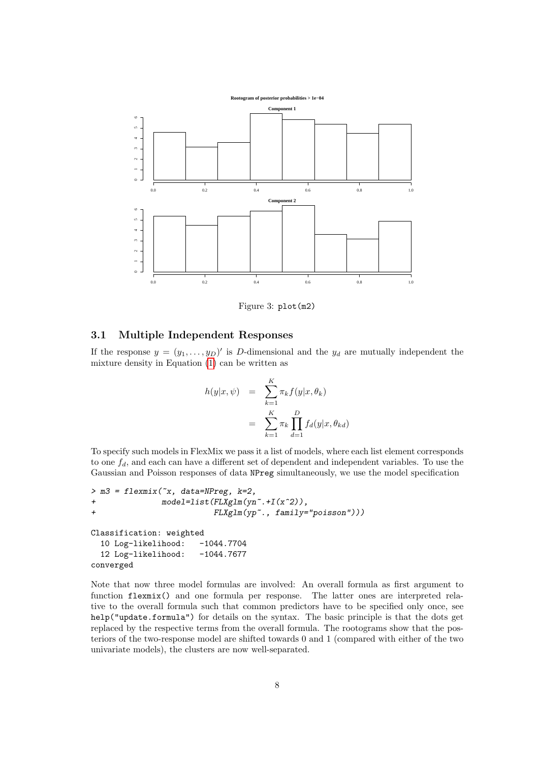

<span id="page-9-0"></span>Figure 3: plot(m2)

#### 3.1 Multiple Independent Responses

If the response  $y = (y_1, \ldots, y_D)'$  is D-dimensional and the  $y_d$  are mutually independent the mixture density in Equation [\(1\)](#page-3-1) can be written as

$$
h(y|x, \psi) = \sum_{k=1}^{K} \pi_k f(y|x, \theta_k)
$$
  
= 
$$
\sum_{k=1}^{K} \pi_k \prod_{d=1}^{D} f_d(y|x, \theta_{kd})
$$

To specify such models in FlexMix we pass it a list of models, where each list element corresponds to one  $f_d$ , and each can have a different set of dependent and independent variables. To use the Gaussian and Poisson responses of data NPreg simultaneously, we use the model specification

```
> m3 = flexmix('x, data=NPreg, k=2,+ model=list(FLXglm(yn~.+I(x^2)),
+ FLXglm(yp~., family="poisson")))
Classification: weighted
 10 Log-likelihood: -1044.7704
 12 Log-likelihood: -1044.7677
converged
```
Note that now three model formulas are involved: An overall formula as first argument to function flexmix() and one formula per response. The latter ones are interpreted relative to the overall formula such that common predictors have to be specified only once, see help("update.formula") for details on the syntax. The basic principle is that the dots get replaced by the respective terms from the overall formula. The rootograms show that the posteriors of the two-response model are shifted towards 0 and 1 (compared with either of the two univariate models), the clusters are now well-separated.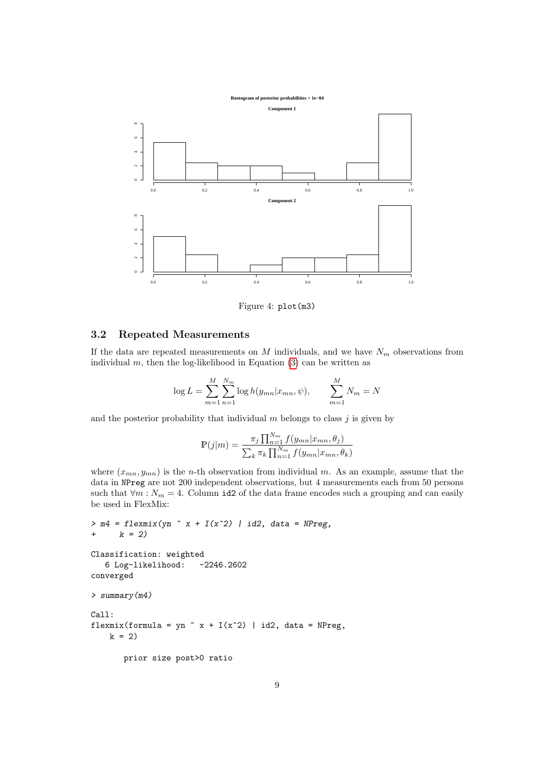

Figure 4: plot(m3)

### 3.2 Repeated Measurements

If the data are repeated measurements on M individuals, and we have  $N_m$  observations from individual  $m$ , then the log-likelihood in Equation [\(3\)](#page-3-3) can be written as

$$
\log L = \sum_{m=1}^{M} \sum_{n=1}^{N_m} \log h(y_{mn} | x_{mn}, \psi), \qquad \sum_{m=1}^{M} N_m = N
$$

and the posterior probability that individual  $m$  belongs to class  $j$  is given by

$$
\mathbb{P}(j|m) = \frac{\pi_j \prod_{n=1}^{N_m} f(y_{mn}|x_{mn}, \theta_j)}{\sum_{k} \pi_k \prod_{n=1}^{N_m} f(y_{mn}|x_{mn}, \theta_k)}
$$

where  $(x_{mn}, y_{mn})$  is the *n*-th observation from individual m. As an example, assume that the data in NPreg are not 200 independent observations, but 4 measurements each from 50 persons such that  $\forall m : N_m = 4$ . Column id2 of the data frame encodes such a grouping and can easily be used in FlexMix:

```
> m4 = flexmix(yn \tilde{x} + I(x\tilde{z}) \mid id2, data = NPreg,+ k = 2Classification: weighted
   6 Log-likelihood: -2246.2602
converged
> summary(m4)
Call:
flexmix(formula = yn \tilde{x} x + I(x^2) | id2, data = NPreg,
    k = 2prior size post>0 ratio
```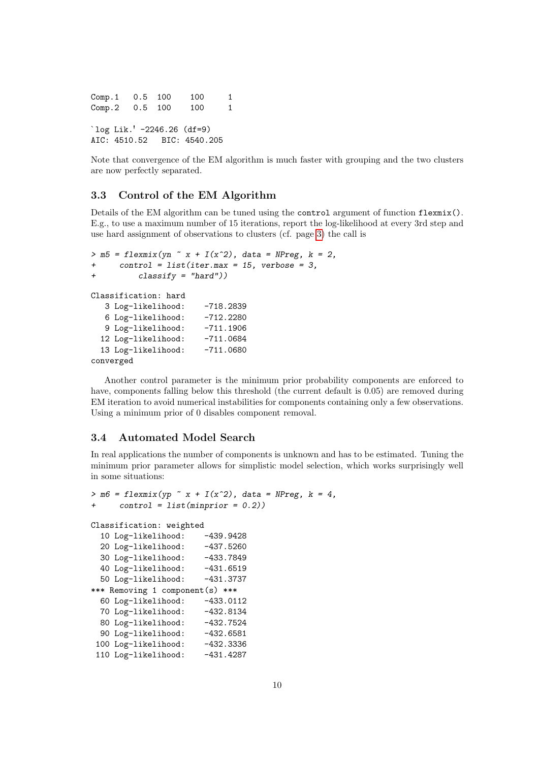Comp.1 0.5 100 100 1 Comp.2 0.5 100 100 1 `log Lik.' -2246.26 (df=9) AIC: 4510.52 BIC: 4540.205

Note that convergence of the EM algorithm is much faster with grouping and the two clusters are now perfectly separated.

#### 3.3 Control of the EM Algorithm

Details of the EM algorithm can be tuned using the control argument of function flexmix(). E.g., to use a maximum number of 15 iterations, report the log-likelihood at every 3rd step and use hard assignment of observations to clusters (cf. page [3\)](#page-4-0) the call is

```
> m5 = flexmix(yn \tilde{ } x + I(x^2), data = NPreg, k = 2,
+ control = list(iter.max = 15, verbose = 3,
+ classify = "hard"))
Classification: hard
  3 Log-likelihood: -718.2839
  6 Log-likelihood: -712.2280
  9 Log-likelihood: -711.1906
  12 Log-likelihood: -711.0684
  13 Log-likelihood: -711.0680
converged
```
Another control parameter is the minimum prior probability components are enforced to have, components falling below this threshold (the current default is 0.05) are removed during EM iteration to avoid numerical instabilities for components containing only a few observations. Using a minimum prior of 0 disables component removal.

#### 3.4 Automated Model Search

In real applications the number of components is unknown and has to be estimated. Tuning the minimum prior parameter allows for simplistic model selection, which works surprisingly well in some situations:

```
> m6 = flexmix(yp \tilde{x} x + I(x^2), data = NPreg, k = 4,
     control = list(min = 0.2))
Classification: weighted
  10 Log-likelihood: -439.9428
  20 Log-likelihood: -437.5260
  30 Log-likelihood: -433.7849
  40 Log-likelihood: -431.6519
  50 Log-likelihood: -431.3737
*** Removing 1 component(s) ***
  60 Log-likelihood: -433.0112
  70 Log-likelihood: -432.8134
 80 Log-likelihood: -432.7524
 90 Log-likelihood: -432.6581
 100 Log-likelihood: -432.3336
 110 Log-likelihood: -431.4287
```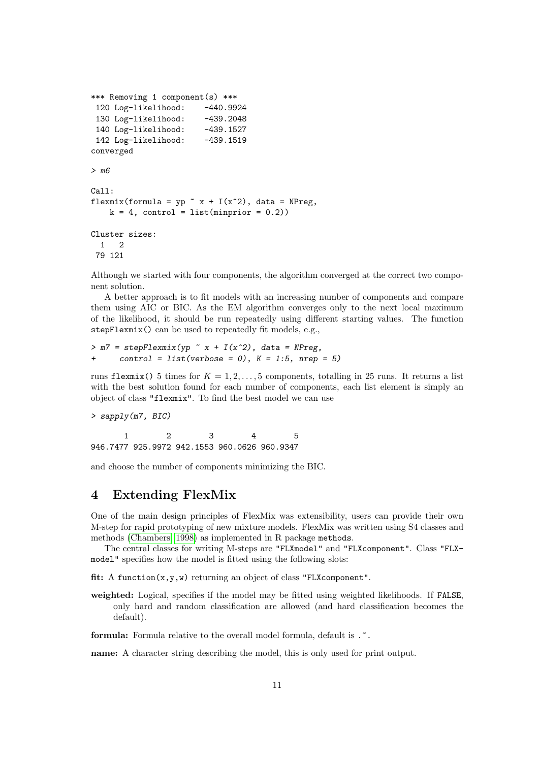```
*** Removing 1 component(s) ***
 120 Log-likelihood: -440.9924
 130 Log-likelihood: -439.2048
 140 Log-likelihood: -439.1527
 142 Log-likelihood: -439.1519
converged
> m6
Call:
flexmix(formula = yp x + I(x^2), data = NPreg,
   k = 4, control = list(minprior = 0.2))
Cluster sizes:
 1 2
79 121
```
Although we started with four components, the algorithm converged at the correct two component solution.

A better approach is to fit models with an increasing number of components and compare them using AIC or BIC. As the EM algorithm converges only to the next local maximum of the likelihood, it should be run repeatedly using different starting values. The function stepFlexmix() can be used to repeatedly fit models, e.g.,

 $>$  m7 = stepFlexmix(yp  $\tilde{x}$  x + I(x^2), data = NPreg,  $control = list(verbose = 0), K = 1:5, nrep = 5)$ 

runs flexmix() 5 times for  $K = 1, 2, ..., 5$  components, totalling in 25 runs. It returns a list with the best solution found for each number of components, each list element is simply an object of class "flexmix". To find the best model we can use

> sapply(m7, BIC)

1 2 3 4 5 946.7477 925.9972 942.1553 960.0626 960.9347

and choose the number of components minimizing the BIC.

## <span id="page-12-0"></span>4 Extending FlexMix

One of the main design principles of FlexMix was extensibility, users can provide their own M-step for rapid prototyping of new mixture models. FlexMix was written using S4 classes and methods [\(Chambers, 1998\)](#page-16-8) as implemented in R package methods.

The central classes for writing M-steps are "FLXmodel" and "FLXcomponent". Class "FLXmodel" specifies how the model is fitted using the following slots:

fit: A function(x,y,w) returning an object of class "FLXcomponent".

weighted: Logical, specifies if the model may be fitted using weighted likelihoods. If FALSE, only hard and random classification are allowed (and hard classification becomes the default).

formula: Formula relative to the overall model formula, default is .  $\tilde{\cdot}$ .

name: A character string describing the model, this is only used for print output.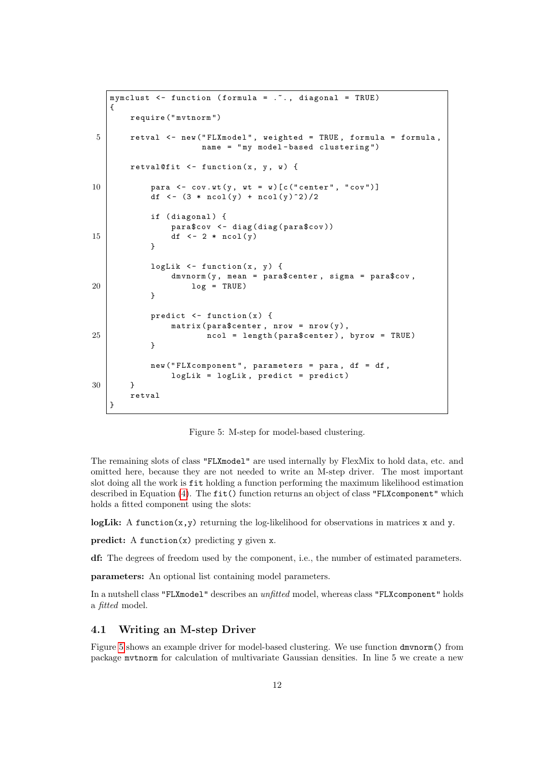```
mymclust \leq function (formula = \ldots, diagonal = TRUE)
   {
       require (" mvtnorm ")
5 retval <- new ("FLXmodel", weighted = TRUE, formula = formula,
                      name = " my model - based clustering ")
       retval@fit \le function (x, y, w) {
10 | para \leq -\cot \sqrt{x} (y, wt = w) [c("center", "cov")]
           df \leftarrow (3 * ncol(y) + ncol(y)^2)/2
           if (diagonal) {
               para$cov <- diag(diag(para$cov))
15 df \langle -2 * \text{ncol}(y) \rangle}
           logLik \leq function (x, y) {
               dmvnorm (y, mean = para$center, sigma = para$cov,
20 \log = TRUE)
           }
           predict \leq function (x) {
               matrix (para$center, nrow = nrow (y),25 ncol = length (para$center), byrow = TRUE)
           }
           new ("FLXcomponent", parameters = para, df = df,
               logList = logList, predict = predict)30 }
       retval
   }
```
<span id="page-13-0"></span>Figure 5: M-step for model-based clustering.

The remaining slots of class "FLXmodel" are used internally by FlexMix to hold data, etc. and omitted here, because they are not needed to write an M-step driver. The most important slot doing all the work is fit holding a function performing the maximum likelihood estimation described in Equation [\(4\)](#page-4-0). The fit() function returns an object of class "FLXcomponent" which holds a fitted component using the slots:

logLik: A function $(x, y)$  returning the log-likelihood for observations in matrices x and y.

predict: A function $(x)$  predicting y given x.

df: The degrees of freedom used by the component, i.e., the number of estimated parameters.

parameters: An optional list containing model parameters.

In a nutshell class "FLXmodel" describes an *unfitted* model, whereas class "FLXcomponent" holds a fitted model.

#### 4.1 Writing an M-step Driver

Figure [5](#page-13-0) shows an example driver for model-based clustering. We use function dmvnorm() from package mvtnorm for calculation of multivariate Gaussian densities. In line 5 we create a new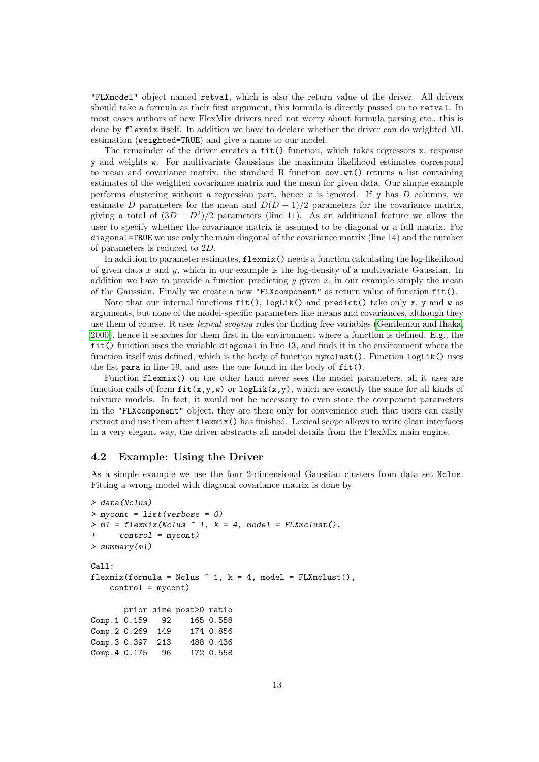"FLXmodel" object named retval, which is also the return value of the driver. All drivers should take a formula as their first argument, this formula is directly passed on to retval. In most cases authors of new FlexMix drivers need not worry about formula parsing etc., this is done by flexmix itself. In addition we have to declare whether the driver can do weighted ML estimation (weighted=TRUE) and give a name to our model.

The remainder of the driver creates a  $fit()$  function, which takes regressors x, response y and weights w. For multivariate Gaussians the maximum likelihood estimates correspond to mean and covariance matrix, the standard R function cov.wt() returns a list containing estimates of the weighted covariance matrix and the mean for given data. Our simple example performs clustering without a regression part, hence  $x$  is ignored. If  $y$  has  $D$  columns, we estimate D parameters for the mean and  $D(D-1)/2$  parameters for the covariance matrix, giving a total of  $(3D + D^2)/2$  parameters (line 11). As an additional feature we allow the user to specify whether the covariance matrix is assumed to be diagonal or a full matrix. For diagonal=TRUE we use only the main diagonal of the covariance matrix (line 14) and the number of parameters is reduced to 2D.

In addition to parameter estimates, flexmix() needs a function calculating the log-likelihood of given data  $x$  and  $y$ , which in our example is the log-density of a multivariate Gaussian. In addition we have to provide a function predicting  $y$  given  $x$ , in our example simply the mean of the Gaussian. Finally we create a new "FLXcomponent" as return value of function fit().

Note that our internal functions  $fit()$ , logLik() and predict() take only x, y and w as arguments, but none of the model-specific parameters like means and covariances, although they use them of course. R uses lexical scoping rules for finding free variables [\(Gentleman and Ihaka,](#page-16-9) [2000\)](#page-16-9), hence it searches for them first in the environment where a function is defined. E.g., the fit() function uses the variable diagonal in line 13, and finds it in the environment where the function itself was defined, which is the body of function mymclust(). Function logLik() uses the list para in line 19, and uses the one found in the body of fit().

Function flexmix() on the other hand never sees the model parameters, all it uses are function calls of form  $fit(x,y,w)$  or  $logLik(x,y)$ , which are exactly the same for all kinds of mixture models. In fact, it would not be necessary to even store the component parameters in the "FLXcomponent" object, they are there only for convenience such that users can easily extract and use them after flexmix() has finished. Lexical scope allows to write clean interfaces in a very elegant way, the driver abstracts all model details from the FlexMix main engine.

#### 4.2 Example: Using the Driver

As a simple example we use the four 2-dimensional Gaussian clusters from data set Nclus. Fitting a wrong model with diagonal covariance matrix is done by

```
> data(Nclus)
> mycont = list(verbose = 0)
> m1 = flexmix(Nclus \sim 1, k = 4, model = FLXmclust(),
      control = mycont)> summary(m1)
Ca11:flexmix(formula = Nclus \tilde{ } 1, k = 4, model = FLXmclust(),
    control = mycont)
       prior size post>0 ratio
Comp.1 0.159 92 165 0.558
Comp.2 0.269 149 174 0.856
Comp.3 0.397 213 488 0.436
Comp.4 0.175 96 172 0.558
```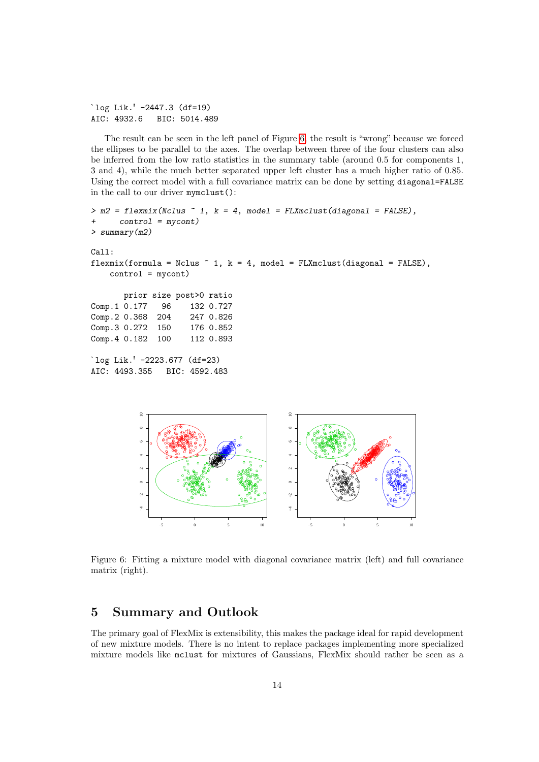```
`log Lik.' -2447.3 (df=19)
AIC: 4932.6 BIC: 5014.489
```
The result can be seen in the left panel of Figure [6,](#page-15-0) the result is "wrong" because we forced the ellipses to be parallel to the axes. The overlap between three of the four clusters can also be inferred from the low ratio statistics in the summary table (around 0.5 for components 1, 3 and 4), while the much better separated upper left cluster has a much higher ratio of 0.85. Using the correct model with a full covariance matrix can be done by setting diagonal=FALSE in the call to our driver mymclust():

```
> m2 = flexmix(Nclus ~ 1, k = 4, model = FLXmclust(diagonal = FALSE),+ control = mycont)
> summary(m2)
Call:
flexmix(formula = Nclus \tilde{ } 1, k = 4, model = FLXmclust(diagonal = FALSE),
    control = mycont)
      prior size post>0 ratio
Comp.1 0.177 96 132 0.727
Comp.2 0.368 204 247 0.826
Comp.3 0.272 150 176 0.852
Comp. 4 0.182 100 112 0.893
`log Lik.' -2223.677 (df=23)
AIC: 4493.355 BIC: 4592.483
```


<span id="page-15-0"></span>Figure 6: Fitting a mixture model with diagonal covariance matrix (left) and full covariance matrix (right).

## 5 Summary and Outlook

The primary goal of FlexMix is extensibility, this makes the package ideal for rapid development of new mixture models. There is no intent to replace packages implementing more specialized mixture models like mclust for mixtures of Gaussians, FlexMix should rather be seen as a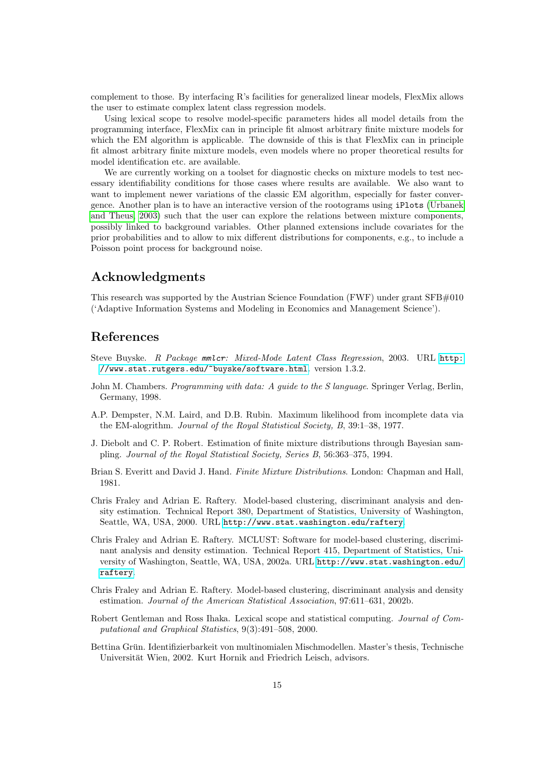complement to those. By interfacing R's facilities for generalized linear models, FlexMix allows the user to estimate complex latent class regression models.

Using lexical scope to resolve model-specific parameters hides all model details from the programming interface, FlexMix can in principle fit almost arbitrary finite mixture models for which the EM algorithm is applicable. The downside of this is that FlexMix can in principle fit almost arbitrary finite mixture models, even models where no proper theoretical results for model identification etc. are available.

We are currently working on a toolset for diagnostic checks on mixture models to test necessary identifiability conditions for those cases where results are available. We also want to want to implement newer variations of the classic EM algorithm, especially for faster convergence. Another plan is to have an interactive version of the rootograms using iPlots [\(Urbanek](#page-17-9) [and Theus, 2003\)](#page-17-9) such that the user can explore the relations between mixture components, possibly linked to background variables. Other planned extensions include covariates for the prior probabilities and to allow to mix different distributions for components, e.g., to include a Poisson point process for background noise.

## Acknowledgments

This research was supported by the Austrian Science Foundation (FWF) under grant SFB#010 ('Adaptive Information Systems and Modeling in Economics and Management Science').

## References

- <span id="page-16-5"></span>Steve Buyske. R Package mmlcr: Mixed-Mode Latent Class Regression, 2003. URL [http:](http://www.stat.rutgers.edu/~buyske/software.html) [//www.stat.rutgers.edu/~buyske/software.html](http://www.stat.rutgers.edu/~buyske/software.html). version 1.3.2.
- <span id="page-16-8"></span>John M. Chambers. Programming with data: A guide to the S language. Springer Verlag, Berlin, Germany, 1998.
- <span id="page-16-1"></span>A.P. Dempster, N.M. Laird, and D.B. Rubin. Maximum likelihood from incomplete data via the EM-alogrithm. Journal of the Royal Statistical Society, B, 39:1–38, 1977.
- <span id="page-16-2"></span>J. Diebolt and C. P. Robert. Estimation of finite mixture distributions through Bayesian sampling. Journal of the Royal Statistical Society, Series B, 56:363–375, 1994.
- <span id="page-16-0"></span>Brian S. Everitt and David J. Hand. Finite Mixture Distributions. London: Chapman and Hall, 1981.
- <span id="page-16-6"></span>Chris Fraley and Adrian E. Raftery. Model-based clustering, discriminant analysis and density estimation. Technical Report 380, Department of Statistics, University of Washington, Seattle, WA, USA, 2000. URL <http://www.stat.washington.edu/raftery>.
- <span id="page-16-4"></span>Chris Fraley and Adrian E. Raftery. MCLUST: Software for model-based clustering, discriminant analysis and density estimation. Technical Report 415, Department of Statistics, University of Washington, Seattle, WA, USA, 2002a. URL [http://www.stat.washington.edu/](http://www.stat.washington.edu/raftery) [raftery](http://www.stat.washington.edu/raftery).
- <span id="page-16-3"></span>Chris Fraley and Adrian E. Raftery. Model-based clustering, discriminant analysis and density estimation. Journal of the American Statistical Association, 97:611–631, 2002b.
- <span id="page-16-9"></span>Robert Gentleman and Ross Ihaka. Lexical scope and statistical computing. Journal of Computational and Graphical Statistics, 9(3):491–508, 2000.
- <span id="page-16-7"></span>Bettina Grün. Identifizierbarkeit von multinomialen Mischmodellen. Master's thesis, Technische Universität Wien, 2002. Kurt Hornik and Friedrich Leisch, advisors.